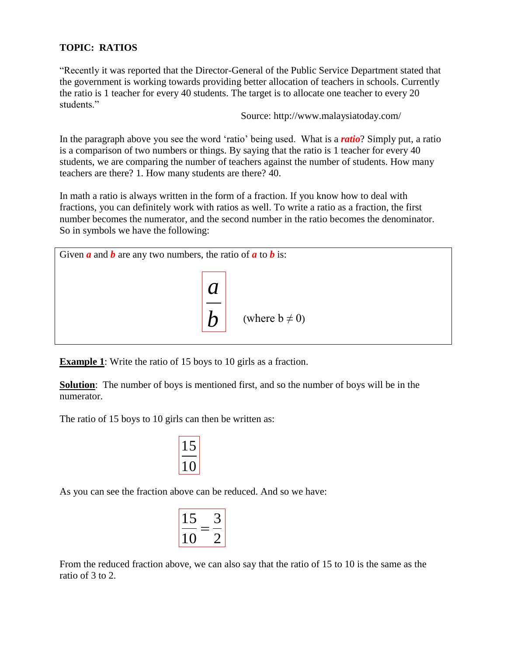## **TOPIC: RATIOS**

"Recently it was reported that the Director-General of the Public Service Department stated that the government is working towards providing better allocation of teachers in schools. Currently the ratio is 1 teacher for every 40 students. The target is to allocate one teacher to every 20 students."

Source: http://www.malaysiatoday.com/

In the paragraph above you see the word "ratio" being used. What is a *ratio*? Simply put, a ratio is a comparison of two numbers or things. By saying that the ratio is 1 teacher for every 40 students, we are comparing the number of teachers against the number of students. How many teachers are there? 1. How many students are there? 40.

In math a ratio is always written in the form of a fraction. If you know how to deal with fractions, you can definitely work with ratios as well. To write a ratio as a fraction, the first number becomes the numerator, and the second number in the ratio becomes the denominator. So in symbols we have the following:



**Example 1**: Write the ratio of 15 boys to 10 girls as a fraction.

**Solution**: The number of boys is mentioned first, and so the number of boys will be in the numerator.

The ratio of 15 boys to 10 girls can then be written as:

$$
\frac{15}{10}
$$

As you can see the fraction above can be reduced. And so we have:

$$
\left|\frac{15}{10} = \frac{3}{2}\right|
$$

From the reduced fraction above, we can also say that the ratio of 15 to 10 is the same as the ratio of 3 to 2.